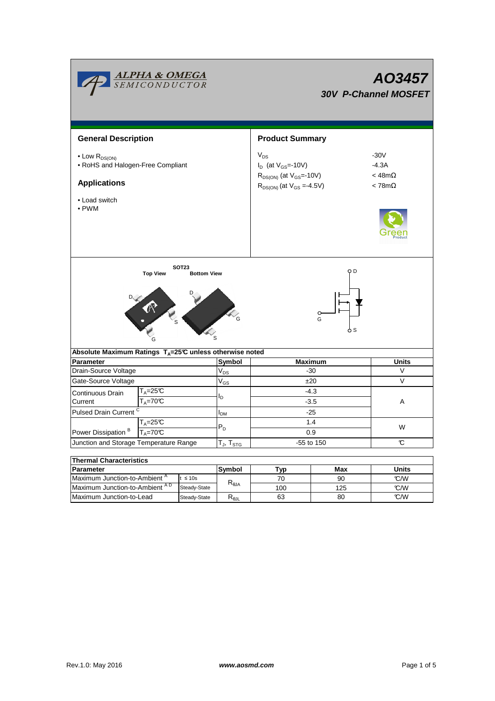|                                                                                                         | <b>ALPHA &amp; OMEGA</b><br>SEMICONDUCTOR                |                                    |                   | AO3457<br><b>30V P-Channel MOSFET</b>                                                                            |                                                        |              |  |  |  |
|---------------------------------------------------------------------------------------------------------|----------------------------------------------------------|------------------------------------|-------------------|------------------------------------------------------------------------------------------------------------------|--------------------------------------------------------|--------------|--|--|--|
| <b>General Description</b>                                                                              |                                                          |                                    |                   | <b>Product Summary</b>                                                                                           |                                                        |              |  |  |  |
| $\bullet$ Low $R_{DS(ON)}$<br>• RoHS and Halogen-Free Compliant<br><b>Applications</b><br>• Load switch |                                                          |                                    |                   | $V_{DS}$<br>$I_D$ (at $V_{GS}$ =-10V)<br>$R_{DS(ON)}$ (at $V_{GS}$ =-10V)<br>$R_{DS(ON)}$ (at $V_{GS} = -4.5V$ ) | $-30V$<br>$-4.3A$<br>$<$ 48m $\Omega$<br>$< 78m\Omega$ |              |  |  |  |
| $\bullet$ PWM                                                                                           |                                                          |                                    |                   |                                                                                                                  |                                                        |              |  |  |  |
|                                                                                                         | <b>Top View</b><br>$\epsilon$                            | <b>SOT23</b><br><b>Bottom View</b> |                   | O D<br>$\circ$<br>G<br>5 S                                                                                       |                                                        |              |  |  |  |
| Absolute Maximum Ratings T <sub>A</sub> =25℃ unless otherwise noted                                     |                                                          |                                    |                   |                                                                                                                  |                                                        |              |  |  |  |
| Parameter                                                                                               |                                                          |                                    | Symbol            | <b>Maximum</b>                                                                                                   |                                                        | <b>Units</b> |  |  |  |
| Drain-Source Voltage                                                                                    |                                                          |                                    | $V_{DS}$          | $-30$                                                                                                            |                                                        | $\vee$       |  |  |  |
| Gate-Source Voltage                                                                                     |                                                          |                                    | $\rm V_{GS}$      | ±20                                                                                                              |                                                        | $\vee$       |  |  |  |
| Continuous Drain<br>Current                                                                             | T <sub>A</sub> =25℃<br>$T_A = 70C$                       |                                    | l <sub>D</sub>    | $-4.3$<br>$-3.5$                                                                                                 |                                                        | Α            |  |  |  |
| Pulsed Drain Current <sup>C</sup>                                                                       |                                                          |                                    | $I_{DM}$          | $-25$                                                                                                            |                                                        |              |  |  |  |
| $T_A = 25C$                                                                                             |                                                          |                                    | $P_D$             | 1.4                                                                                                              |                                                        |              |  |  |  |
| Power Dissipation <sup>B</sup><br>T <sub>A</sub> =70℃                                                   |                                                          |                                    |                   | 0.9                                                                                                              |                                                        | W            |  |  |  |
| Junction and Storage Temperature Range                                                                  |                                                          |                                    | $T_J$ , $T_{STG}$ | -55 to 150                                                                                                       |                                                        | C            |  |  |  |
|                                                                                                         |                                                          |                                    |                   |                                                                                                                  |                                                        |              |  |  |  |
| <b>Thermal Characteristics</b><br>Parameter                                                             |                                                          |                                    | Symbol            |                                                                                                                  | Max                                                    | <b>Units</b> |  |  |  |
|                                                                                                         | Maximum Junction-to-Ambient <sup>A</sup><br>$t \leq 10s$ |                                    |                   | <b>Typ</b><br>70                                                                                                 | 90                                                     | °C/W         |  |  |  |
| Maximum Junction-to-Ambient AD                                                                          |                                                          | Steady-State                       | $R_{\theta$ JA    | 100                                                                                                              | 125                                                    | °C/W         |  |  |  |

Maximum Junction-to-Lead Steady-State R<sub>θJL</sub> 63 80 C/W

63

80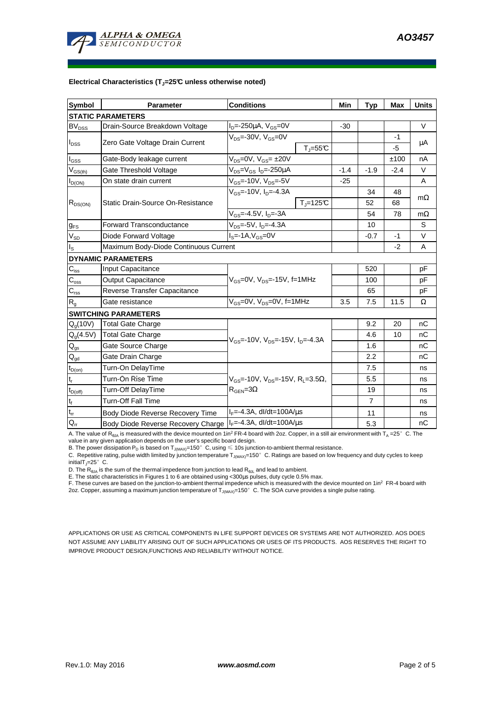

#### **Electrical Characteristics (TJ=25°C unless otherwise noted)**

| <b>Symbol</b>                           | <b>Parameter</b>                                                    | <b>Conditions</b>                                                                            |                          | Min            | <b>Typ</b> | Max    | <b>Units</b> |  |  |  |  |  |
|-----------------------------------------|---------------------------------------------------------------------|----------------------------------------------------------------------------------------------|--------------------------|----------------|------------|--------|--------------|--|--|--|--|--|
| <b>STATIC PARAMETERS</b>                |                                                                     |                                                                                              |                          |                |            |        |              |  |  |  |  |  |
| <b>BV<sub>DSS</sub></b>                 | Drain-Source Breakdown Voltage                                      | $I_{D} = -250 \mu A$ , $V_{GS} = 0V$                                                         |                          | $-30$          |            |        | $\vee$       |  |  |  |  |  |
| $I_{\text{DSS}}$                        | Zero Gate Voltage Drain Current                                     | $V_{DS}$ =-30V, $V_{GS}$ =0V                                                                 |                          |                |            | $-1$   |              |  |  |  |  |  |
|                                         |                                                                     |                                                                                              | $T_{\parallel} = 55$ °C  |                |            | $-5$   | μA           |  |  |  |  |  |
| $I_{GSS}$                               | Gate-Body leakage current                                           | V <sub>DS</sub> =0V, V <sub>GS</sub> = ±20V                                                  |                          |                |            | ±100   | nA           |  |  |  |  |  |
| $\mathsf{V}_{\mathsf{GS}(\mathsf{th})}$ | Gate Threshold Voltage                                              | $V_{DS} = V_{GS} I_D = -250 \mu A$                                                           | $-1.4$                   | $-1.9$         | $-2.4$     | $\vee$ |              |  |  |  |  |  |
| $I_{D(ON)}$                             | On state drain current                                              | $V_{GS}$ =-10V, $V_{DS}$ =-5V                                                                |                          | $-25$          |            |        | A            |  |  |  |  |  |
| $R_{DS(ON)}$                            |                                                                     | $V_{GS}$ =-10V, $I_{D}$ =-4.3A                                                               |                          |                | 34         | 48     |              |  |  |  |  |  |
|                                         | Static Drain-Source On-Resistance                                   |                                                                                              | $T_{\parallel} = 125$ °C |                | 52         | 68     | $m\Omega$    |  |  |  |  |  |
|                                         |                                                                     | $V_{GS} = -4.5V$ , $I_{D} = -3A$                                                             |                          |                | 54         | 78     | $m\Omega$    |  |  |  |  |  |
| $g_{FS}$                                | <b>Forward Transconductance</b>                                     | $V_{DS} = -5V$ , $I_D = -4.3A$                                                               |                          |                | 10         |        | S            |  |  |  |  |  |
| $V_{SD}$                                | Diode Forward Voltage                                               | $IS=-1A, VGS=0V$                                                                             |                          |                | $-0.7$     | $-1$   | $\vee$       |  |  |  |  |  |
| $I_{\rm S}$                             | Maximum Body-Diode Continuous Current                               |                                                                                              |                          | $-2$           | A          |        |              |  |  |  |  |  |
|                                         | <b>DYNAMIC PARAMETERS</b>                                           |                                                                                              |                          |                |            |        |              |  |  |  |  |  |
| $C_{\text{iss}}$                        | Input Capacitance                                                   |                                                                                              |                          | 520            |            | pF     |              |  |  |  |  |  |
| $C_{\rm oss}$                           | <b>Output Capacitance</b>                                           | $V_{GS}$ =0V, $V_{DS}$ =-15V, f=1MHz                                                         |                          |                | 100        |        | pF           |  |  |  |  |  |
| $\overline{C_{\rm rss}}$                | Reverse Transfer Capacitance                                        |                                                                                              |                          |                | 65         |        | pF           |  |  |  |  |  |
| $R_{q}$                                 | Gate resistance                                                     | $V_{GS}$ =0V, $V_{DS}$ =0V, f=1MHz                                                           |                          | 3.5            | 7.5        | 11.5   | Ω            |  |  |  |  |  |
|                                         | <b>SWITCHING PARAMETERS</b>                                         |                                                                                              |                          |                |            |        |              |  |  |  |  |  |
| $Q_g(10V)$                              | <b>Total Gate Charge</b>                                            | $V_{GS}$ =-10V, $V_{DS}$ =-15V, $I_{D}$ =-4.3A                                               |                          |                | 9.2        | 20     | nC           |  |  |  |  |  |
| $Q_q(4.5V)$                             | <b>Total Gate Charge</b>                                            |                                                                                              |                          |                | 4.6        | 10     | nC           |  |  |  |  |  |
| $\mathsf{Q}_{\mathsf{gs}}$              | Gate Source Charge                                                  |                                                                                              |                          |                | 1.6        |        | nС           |  |  |  |  |  |
| $Q_{qd}$                                | Gate Drain Charge                                                   |                                                                                              |                          |                | 2.2        |        | nC           |  |  |  |  |  |
| $t_{D(0n)}$                             | Turn-On DelayTime                                                   | $V_{GS}$ =-10V, $V_{DS}$ =-15V, R <sub>1</sub> =3.5 $\Omega$ ,<br>$R_{\text{GEN}} = 3\Omega$ |                          |                | 7.5        |        | ns           |  |  |  |  |  |
| $t_r$                                   | Turn-On Rise Time                                                   |                                                                                              |                          |                | 5.5        |        | ns           |  |  |  |  |  |
| $t_{D(off)}$                            | Turn-Off DelayTime                                                  |                                                                                              |                          |                | 19         |        | ns           |  |  |  |  |  |
| $t_f$                                   | <b>Turn-Off Fall Time</b>                                           |                                                                                              |                          | $\overline{7}$ |            | ns     |              |  |  |  |  |  |
| $t_{rr}$                                | Body Diode Reverse Recovery Time                                    | $I_F = -4.3A$ , dl/dt=100A/ $\mu$ s                                                          |                          |                | 11         |        | ns           |  |  |  |  |  |
| $Q_{rr}$                                | $I_F = -4.3A$ , dl/dt=100A/us<br>Body Diode Reverse Recovery Charge |                                                                                              |                          |                | 5.3        |        | nC           |  |  |  |  |  |

A. The value of  $R_{\thetaJA}$  is measured with the device mounted on 1in<sup>2</sup> FR-4 board with 2oz. Copper, in a still air environment with T<sub>A</sub> =25°C. The

value in any given application depends on the user's specific board design.<br>B. The power dissipation P<sub>D</sub> is based on T<sub>J(MAX)</sub>=150°C, using ≤ 10s junction-to-ambient thermal resistance.

C. Repetitive rating, pulse width limited by junction temperature  $T_{J(MAX)}$ =150°C. Ratings are based on low frequency and duty cycles to keep initialT $_{1}=25^{\circ}$  C.

D. The  $R_{AJA}$  is the sum of the thermal impedence from junction to lead  $R_{AJI}$  and lead to ambient.

E. The static characteristics in Figures 1 to 6 are obtained using <300us pulses, duty cycle 0.5% max.

F. These curves are based on the junction-to-ambient thermal impedence which is measured with the device mounted on 1in<sup>2</sup> FR-4 board with 2oz. Copper, assuming a maximum junction temperature of  $T_{J(MAX)}$ =150°C. The SOA curve provides a single pulse rating.

APPLICATIONS OR USE AS CRITICAL COMPONENTS IN LIFE SUPPORT DEVICES OR SYSTEMS ARE NOT AUTHORIZED. AOS DOES NOT ASSUME ANY LIABILITY ARISING OUT OF SUCH APPLICATIONS OR USES OF ITS PRODUCTS. AOS RESERVES THE RIGHT TO IMPROVE PRODUCT DESIGN,FUNCTIONS AND RELIABILITY WITHOUT NOTICE.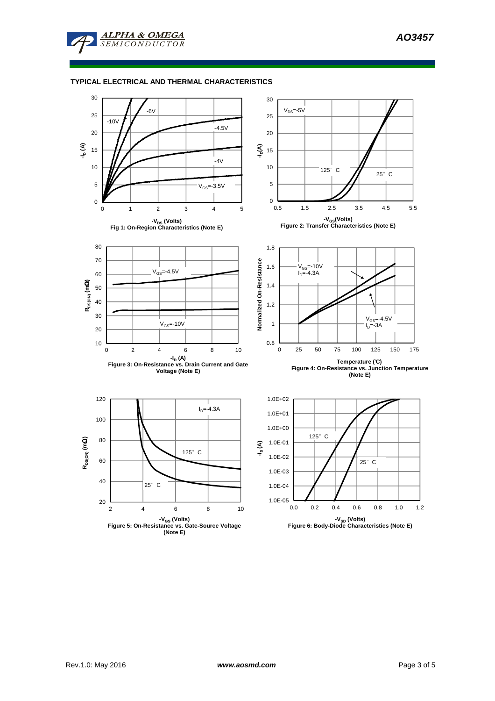

## **TYPICAL ELECTRICAL AND THERMAL CHARACTERISTICS**



**<sup>(</sup>Note E)**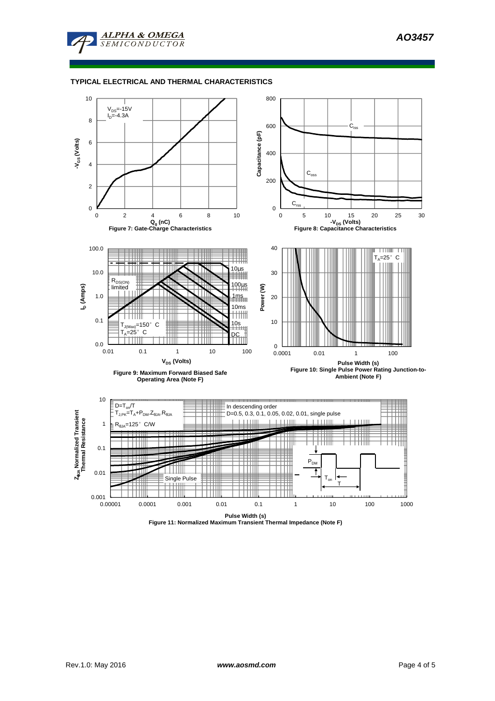

## **TYPICAL ELECTRICAL AND THERMAL CHARACTERISTICS**